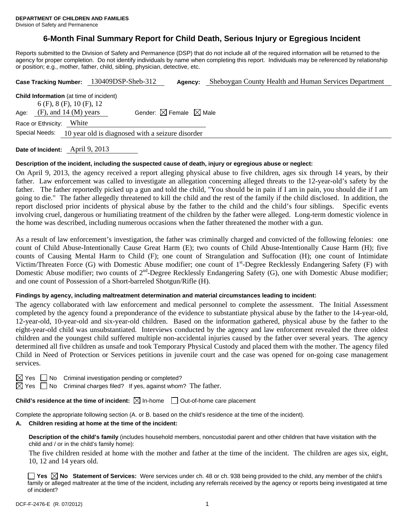# **6-Month Final Summary Report for Child Death, Serious Injury or Egregious Incident**

Reports submitted to the Division of Safety and Permanence (DSP) that do not include all of the required information will be returned to the agency for proper completion. Do not identify individuals by name when completing this report. Individuals may be referenced by relationship or position; e.g., mother, father, child, sibling, physician, detective, etc.

|      |                                                                                                            | Case Tracking Number: 130409DSP-Sheb-312         | Agency:                                     | Sheboygan County Health and Human Services Department |
|------|------------------------------------------------------------------------------------------------------------|--------------------------------------------------|---------------------------------------------|-------------------------------------------------------|
| Age: | <b>Child Information</b> (at time of incident)<br>$6$ (F), 8 (F), 10 (F), 12<br>$(F)$ , and 14 $(M)$ years |                                                  | Gender: $\boxtimes$ Female $\boxtimes$ Male |                                                       |
|      | White<br>Race or Ethnicity:<br>Special Needs:                                                              |                                                  |                                             |                                                       |
|      |                                                                                                            | 10 year old is diagnosed with a seizure disorder |                                             |                                                       |

**Date of Incident:** April 9, 2013

# **Description of the incident, including the suspected cause of death, injury or egregious abuse or neglect:**

On April 9, 2013, the agency received a report alleging physical abuse to five children, ages six through 14 years, by their father. Law enforcement was called to investigate an allegation concerning alleged threats to the 12-year-old's safety by the father. The father reportedly picked up a gun and told the child, "You should be in pain if I am in pain, you should die if I am going to die." The father allegedly threatened to kill the child and the rest of the family if the child disclosed. In addition, the report disclosed prior incidents of physical abuse by the father to the child and the child's four siblings. Specific events involving cruel, dangerous or humiliating treatment of the children by the father were alleged. Long-term domestic violence in the home was described, including numerous occasions when the father threatened the mother with a gun.

As a result of law enforcement's investigation, the father was criminally charged and convicted of the following felonies: one count of Child Abuse-Intentionally Cause Great Harm (E); two counts of Child Abuse-Intentionally Cause Harm (H); five counts of Causing Mental Harm to Child (F); one count of Strangulation and Suffocation (H); one count of Intimidate Victim/Threaten Force  $(G)$  with Domestic Abuse modifier; one count of  $1<sup>st</sup>$ -Degree Recklessly Endangering Safety  $(F)$  with Domestic Abuse modifier; two counts of  $2<sup>nd</sup>$ -Degree Recklessly Endangering Safety (G), one with Domestic Abuse modifier; and one count of Possession of a Short-barreled Shotgun/Rifle (H).

#### **Findings by agency, including maltreatment determination and material circumstances leading to incident:**

The agency collaborated with law enforcement and medical personnel to complete the assessment. The Initial Assessment completed by the agency found a preponderance of the evidence to substantiate physical abuse by the father to the 14-year-old, 12-year-old, 10-year-old and six-year-old children. Based on the information gathered, physical abuse by the father to the eight-year-old child was unsubstantiated. Interviews conducted by the agency and law enforcement revealed the three oldest children and the youngest child suffered multiple non-accidental injuries caused by the father over several years. The agency determined all five children as unsafe and took Temporary Physical Custody and placed them with the mother. The agency filed Child in Need of Protection or Services petitions in juvenile court and the case was opened for on-going case management services.

| ۰. |  |
|----|--|
|    |  |

No Criminal investigation pending or completed?

Yes  $\Box$  No Criminal charges filed? If yes, against whom? The father.

**Child's residence at the time of incident:**  $\boxtimes$  In-home  $\Box$  Out-of-home care placement

Complete the appropriate following section (A. or B. based on the child's residence at the time of the incident).

# **A. Children residing at home at the time of the incident:**

**Description of the child's family** (includes household members, noncustodial parent and other children that have visitation with the child and / or in the child's family home):

 The five children resided at home with the mother and father at the time of the incident. The children are ages six, eight, 10, 12 and 14 years old.

**Yes No Statement of Services:** Were services under ch. 48 or ch. 938 being provided to the child, any member of the child's family or alleged maltreater at the time of the incident, including any referrals received by the agency or reports being investigated at time of incident?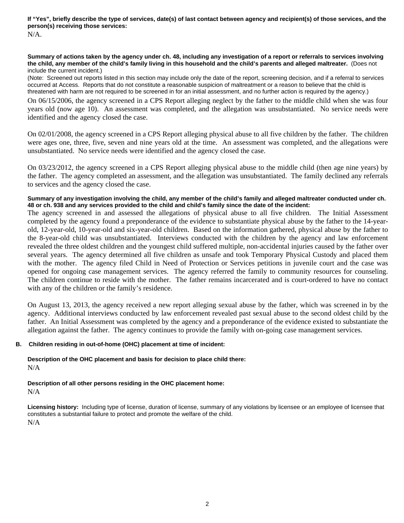**If "Yes", briefly describe the type of services, date(s) of last contact between agency and recipient(s) of those services, and the person(s) receiving those services:**  N/A.

#### **Summary of actions taken by the agency under ch. 48, including any investigation of a report or referrals to services involving the child, any member of the child's family living in this household and the child's parents and alleged maltreater.** (Does not include the current incident.)

(Note: Screened out reports listed in this section may include only the date of the report, screening decision, and if a referral to services occurred at Access. Reports that do not constitute a reasonable suspicion of maltreatment or a reason to believe that the child is threatened with harm are not required to be screened in for an initial assessment, and no further action is required by the agency.)

On 06/15/2006, the agency screened in a CPS Report alleging neglect by the father to the middle child when she was four years old (now age 10). An assessment was completed, and the allegation was unsubstantiated. No service needs were identified and the agency closed the case.

On 02/01/2008, the agency screened in a CPS Report alleging physical abuse to all five children by the father. The children were ages one, three, five, seven and nine years old at the time. An assessment was completed, and the allegations were unsubstantiated. No service needs were identified and the agency closed the case.

On 03/23/2012, the agency screened in a CPS Report alleging physical abuse to the middle child (then age nine years) by the father. The agency completed an assessment, and the allegation was unsubstantiated. The family declined any referrals to services and the agency closed the case.

# **Summary of any investigation involving the child, any member of the child's family and alleged maltreater conducted under ch. 48 or ch. 938 and any services provided to the child and child's family since the date of the incident:**

The agency screened in and assessed the allegations of physical abuse to all five children. The Initial Assessment completed by the agency found a preponderance of the evidence to substantiate physical abuse by the father to the 14-yearold, 12-year-old, 10-year-old and six-year-old children. Based on the information gathered, physical abuse by the father to the 8-year-old child was unsubstantiated. Interviews conducted with the children by the agency and law enforcement revealed the three oldest children and the youngest child suffered multiple, non-accidental injuries caused by the father over several years. The agency determined all five children as unsafe and took Temporary Physical Custody and placed them with the mother. The agency filed Child in Need of Protection or Services petitions in juvenile court and the case was opened for ongoing case management services. The agency referred the family to community resources for counseling. The children continue to reside with the mother. The father remains incarcerated and is court-ordered to have no contact with any of the children or the family's residence.

On August 13, 2013, the agency received a new report alleging sexual abuse by the father, which was screened in by the agency. Additional interviews conducted by law enforcement revealed past sexual abuse to the second oldest child by the father. An Initial Assessment was completed by the agency and a preponderance of the evidence existed to substantiate the allegation against the father. The agency continues to provide the family with on-going case management services.

## **B. Children residing in out-of-home (OHC) placement at time of incident:**

#### **Description of the OHC placement and basis for decision to place child there:** N/A

# **Description of all other persons residing in the OHC placement home:** N/A

**Licensing history:** Including type of license, duration of license, summary of any violations by licensee or an employee of licensee that constitutes a substantial failure to protect and promote the welfare of the child. N/A